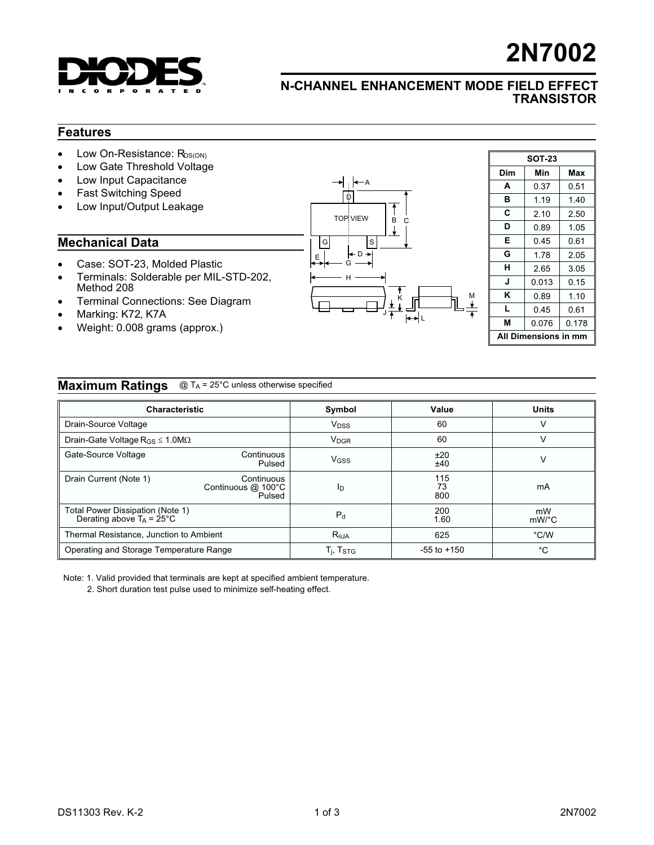

# 2N7002

### N-CHANNEL ENHANCEMENT MODE FIELD EFFECT **TRANSISTOR**

#### Features

- $\bullet$  Low On-Resistance:  $R_{DS(ON)}$
- Low Gate Threshold Voltage
- Low Input Capacitance
- Fast Switching Speed
- Low Input/Output Leakage

#### Mechanical Data

- Case: SOT-23, Molded Plastic
- Terminals: Solderable per MIL-STD-202, Method 208
- Terminal Connections: See Diagram
- Marking: K72, K7A
- Weight: 0.008 grams (approx.)



| <b>SOT-23</b>           |       |       |  |  |  |  |
|-------------------------|-------|-------|--|--|--|--|
| Dim                     | Min   | Max   |  |  |  |  |
| A                       | 0.37  | 0.51  |  |  |  |  |
| в                       | 1.19  | 1.40  |  |  |  |  |
| С                       | 2.10  | 2.50  |  |  |  |  |
| D                       | 0.89  | 1.05  |  |  |  |  |
| Е                       | 0.45  | 0.61  |  |  |  |  |
| G                       | 1.78  | 2.05  |  |  |  |  |
| н                       | 2.65  | 3.05  |  |  |  |  |
| J                       | 0.013 | 0.15  |  |  |  |  |
| κ                       | 0.89  | 1.10  |  |  |  |  |
| L                       | 0.45  | 0.61  |  |  |  |  |
| М                       | 0.076 | 0.178 |  |  |  |  |
| Dimensions in mm<br>ΔIΙ |       |       |  |  |  |  |

#### **Maximum Ratings** @ T<sub>A</sub> = 25°C unless otherwise specified

| <b>Characteristic</b>                                                   |                                            | Symbol                  | Value            | <b>Units</b> |
|-------------------------------------------------------------------------|--------------------------------------------|-------------------------|------------------|--------------|
| Drain-Source Voltage                                                    |                                            | <b>V</b> <sub>DSS</sub> | 60               |              |
| Drain-Gate Voltage $R_{GS} \le 1.0 M\Omega$                             |                                            | <b>V<sub>DGR</sub></b>  | 60               |              |
| Gate-Source Voltage                                                     | Continuous<br>Pulsed                       | <b>V<sub>GSS</sub></b>  | ±20<br>±40       | v            |
| Drain Current (Note 1)                                                  | Continuous<br>Continuous @ 100°C<br>Pulsed | ID                      | 115<br>73<br>800 | mA           |
| Total Power Dissipation (Note 1)<br>Derating above $T_A = 25^{\circ}$ C |                                            | $P_{d}$                 | 200<br>1.60      | mW<br>mW/°C  |
| Thermal Resistance, Junction to Ambient                                 |                                            | $R_{\theta$ JA          | 625              | °C/W         |
| Operating and Storage Temperature Range                                 |                                            | $T_i$ , $T_{STG}$       | $-55$ to $+150$  | °C           |

Note: 1. Valid provided that terminals are kept at specified ambient temperature.

2. Short duration test pulse used to minimize self-heating effect.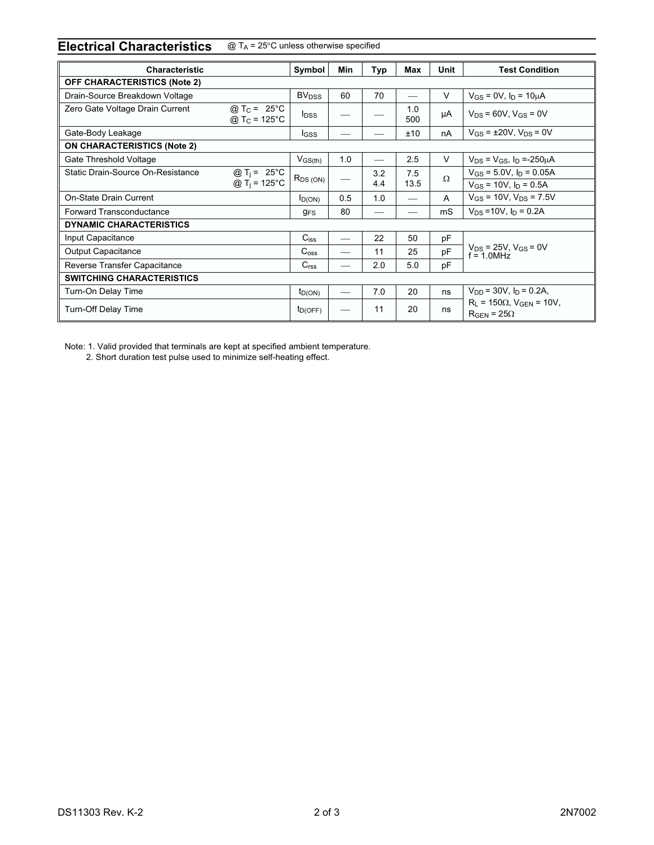## Electrical Characteristics  $@{\top_A} = 25^\circ$ C unless otherwise specified

| <b>Characteristic</b>               |                                                      | Symbol                  | <b>Min</b>               | Typ        | Max         | <b>Unit</b> | <b>Test Condition</b>                                         |  |
|-------------------------------------|------------------------------------------------------|-------------------------|--------------------------|------------|-------------|-------------|---------------------------------------------------------------|--|
| <b>OFF CHARACTERISTICS (Note 2)</b> |                                                      |                         |                          |            |             |             |                                                               |  |
| Drain-Source Breakdown Voltage      |                                                      | <b>BV<sub>DSS</sub></b> | 60                       | 70         |             | $\vee$      | $V_{GS} = 0V$ , $I_D = 10 \mu A$                              |  |
| Zero Gate Voltage Drain Current     | @ T <sub>C</sub> = 25 °C<br>@ T <sub>C</sub> = 125°C | <b>I</b> <sub>DSS</sub> |                          |            | 1.0<br>500  | μA          | $V_{DS} = 60V$ , $V_{GS} = 0V$                                |  |
| Gate-Body Leakage                   |                                                      | <b>I</b> GSS            |                          |            | ±10         | nA          | $V_{GS} = \pm 20V$ , $V_{DS} = 0V$                            |  |
| <b>ON CHARACTERISTICS (Note 2)</b>  |                                                      |                         |                          |            |             |             |                                                               |  |
| Gate Threshold Voltage              |                                                      | $V_{GS(th)}$            | 1.0                      |            | 2.5         | V           | $V_{DS} = V_{GS}$ , $I_D = -250 \mu A$                        |  |
| Static Drain-Source On-Resistance   | @ $T_i = 25^{\circ}C$<br>@ T <sub>i</sub> = 125°C    | $R_{DS(ON)}$            | $\overline{\phantom{0}}$ | 3.2<br>4.4 | 7.5<br>13.5 | $\Omega$    | $V_{GS}$ = 5.0V, $I_D$ = 0.05A                                |  |
|                                     |                                                      |                         |                          |            |             |             | $V_{GS}$ = 10V, $I_D$ = 0.5A                                  |  |
| On-State Drain Current              |                                                      | $I_{D(ON)}$             | 0.5                      | 1.0        |             | A           | $V_{GS}$ = 10V, $V_{DS}$ = 7.5V                               |  |
| <b>Forward Transconductance</b>     |                                                      | <b>g<sub>FS</sub></b>   | 80                       |            |             | mS          | $V_{DS} = 10V$ , $I_D = 0.2A$                                 |  |
| <b>DYNAMIC CHARACTERISTICS</b>      |                                                      |                         |                          |            |             |             |                                                               |  |
| Input Capacitance                   |                                                      | $C_{iss}$               |                          | 22         | 50          | рF          | $V_{DS}$ = 25V, $V_{GS}$ = 0V<br>$f = 1.0$ MHz                |  |
| <b>Output Capacitance</b>           |                                                      | C <sub>oss</sub>        |                          | 11         | 25          | pF          |                                                               |  |
| Reverse Transfer Capacitance        |                                                      | C <sub>rss</sub>        |                          | 2.0        | 5.0         | pF          |                                                               |  |
| <b>SWITCHING CHARACTERISTICS</b>    |                                                      |                         |                          |            |             |             |                                                               |  |
| Turn-On Delay Time                  |                                                      | $t_{D(ON)}$             |                          | 7.0        | 20          | ns          | $V_{DD}$ = 30V, $I_D$ = 0.2A,                                 |  |
| Turn-Off Delay Time                 |                                                      | $t_{D(OFF)}$            |                          | 11         | 20          | ns          | $R_L = 150\Omega$ , $V_{GEN} = 10V$ ,<br>$R_{GEN} = 25\Omega$ |  |

Note: 1. Valid provided that terminals are kept at specified ambient temperature.

2. Short duration test pulse used to minimize self-heating effect.